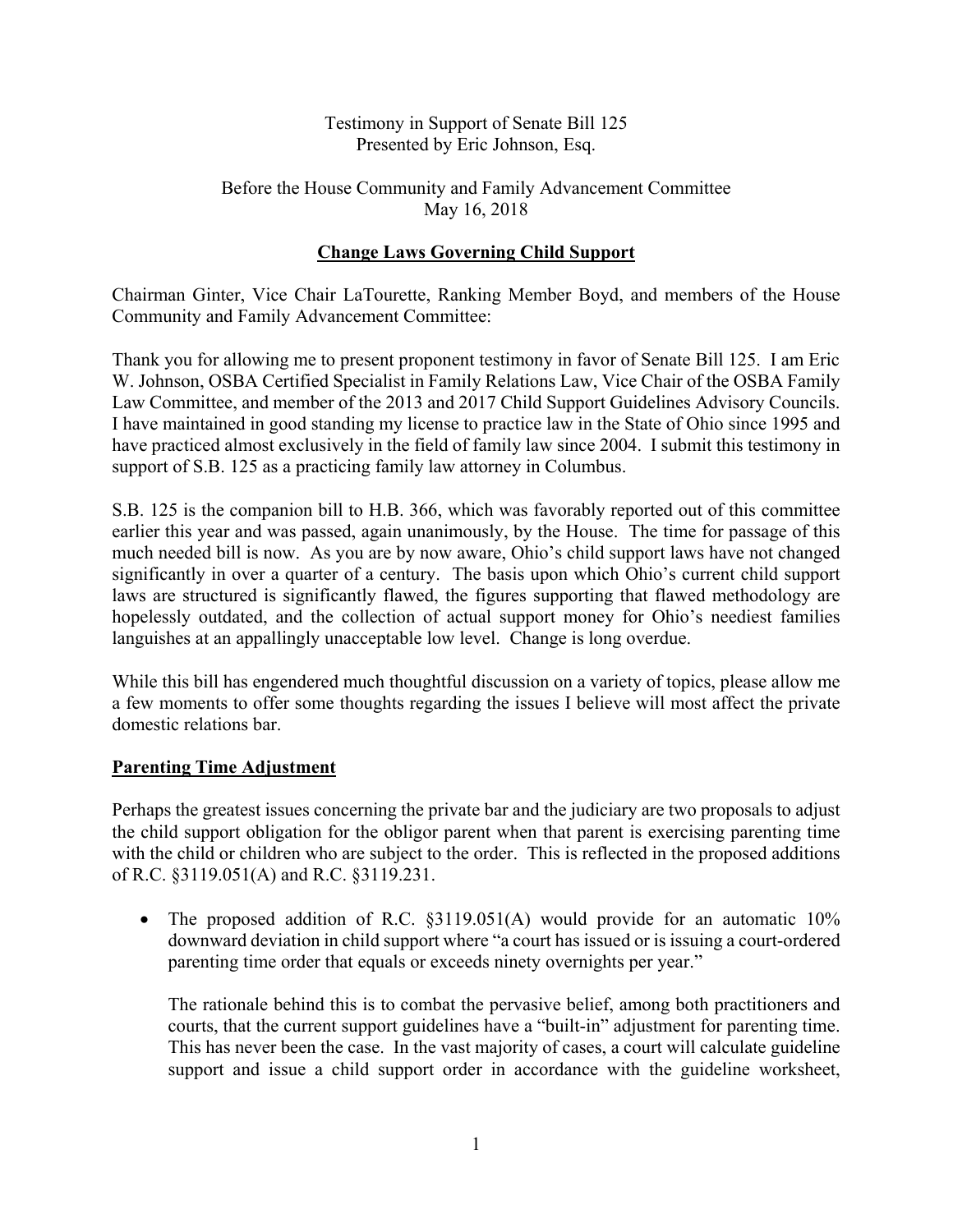### Testimony in Support of Senate Bill 125 Presented by Eric Johnson, Esq.

### Before the House Community and Family Advancement Committee May 16, 2018

# **Change Laws Governing Child Support**

Chairman Ginter, Vice Chair LaTourette, Ranking Member Boyd, and members of the House Community and Family Advancement Committee:

Thank you for allowing me to present proponent testimony in favor of Senate Bill 125. I am Eric W. Johnson, OSBA Certified Specialist in Family Relations Law, Vice Chair of the OSBA Family Law Committee, and member of the 2013 and 2017 Child Support Guidelines Advisory Councils. I have maintained in good standing my license to practice law in the State of Ohio since 1995 and have practiced almost exclusively in the field of family law since 2004. I submit this testimony in support of S.B. 125 as a practicing family law attorney in Columbus.

S.B. 125 is the companion bill to H.B. 366, which was favorably reported out of this committee earlier this year and was passed, again unanimously, by the House. The time for passage of this much needed bill is now. As you are by now aware, Ohio's child support laws have not changed significantly in over a quarter of a century. The basis upon which Ohio's current child support laws are structured is significantly flawed, the figures supporting that flawed methodology are hopelessly outdated, and the collection of actual support money for Ohio's neediest families languishes at an appallingly unacceptable low level. Change is long overdue.

While this bill has engendered much thoughtful discussion on a variety of topics, please allow me a few moments to offer some thoughts regarding the issues I believe will most affect the private domestic relations bar.

## **Parenting Time Adjustment**

Perhaps the greatest issues concerning the private bar and the judiciary are two proposals to adjust the child support obligation for the obligor parent when that parent is exercising parenting time with the child or children who are subject to the order. This is reflected in the proposed additions of R.C. §3119.051(A) and R.C. §3119.231.

• The proposed addition of R.C. §3119.051(A) would provide for an automatic 10% downward deviation in child support where "a court has issued or is issuing a court-ordered parenting time order that equals or exceeds ninety overnights per year."

The rationale behind this is to combat the pervasive belief, among both practitioners and courts, that the current support guidelines have a "built-in" adjustment for parenting time. This has never been the case. In the vast majority of cases, a court will calculate guideline support and issue a child support order in accordance with the guideline worksheet,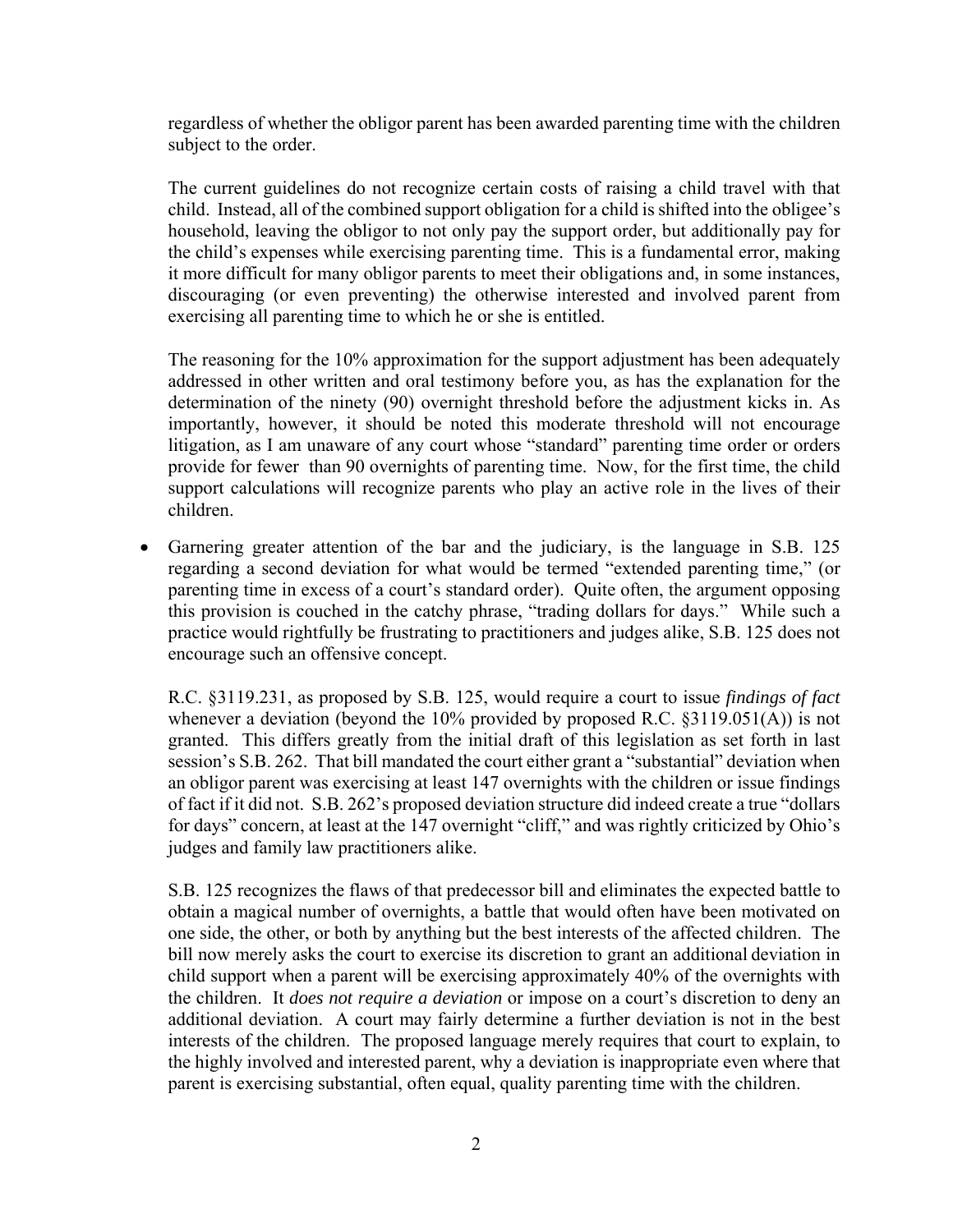regardless of whether the obligor parent has been awarded parenting time with the children subject to the order.

The current guidelines do not recognize certain costs of raising a child travel with that child. Instead, all of the combined support obligation for a child is shifted into the obligee's household, leaving the obligor to not only pay the support order, but additionally pay for the child's expenses while exercising parenting time. This is a fundamental error, making it more difficult for many obligor parents to meet their obligations and, in some instances, discouraging (or even preventing) the otherwise interested and involved parent from exercising all parenting time to which he or she is entitled.

The reasoning for the 10% approximation for the support adjustment has been adequately addressed in other written and oral testimony before you, as has the explanation for the determination of the ninety (90) overnight threshold before the adjustment kicks in. As importantly, however, it should be noted this moderate threshold will not encourage litigation, as I am unaware of any court whose "standard" parenting time order or orders provide for fewer than 90 overnights of parenting time. Now, for the first time, the child support calculations will recognize parents who play an active role in the lives of their children.

 Garnering greater attention of the bar and the judiciary, is the language in S.B. 125 regarding a second deviation for what would be termed "extended parenting time," (or parenting time in excess of a court's standard order). Quite often, the argument opposing this provision is couched in the catchy phrase, "trading dollars for days." While such a practice would rightfully be frustrating to practitioners and judges alike, S.B. 125 does not encourage such an offensive concept.

R.C. §3119.231, as proposed by S.B. 125, would require a court to issue *findings of fact*  whenever a deviation (beyond the  $10\%$  provided by proposed R.C. §3119.051(A)) is not granted. This differs greatly from the initial draft of this legislation as set forth in last session's S.B. 262. That bill mandated the court either grant a "substantial" deviation when an obligor parent was exercising at least 147 overnights with the children or issue findings of fact if it did not. S.B. 262's proposed deviation structure did indeed create a true "dollars for days" concern, at least at the 147 overnight "cliff," and was rightly criticized by Ohio's judges and family law practitioners alike.

S.B. 125 recognizes the flaws of that predecessor bill and eliminates the expected battle to obtain a magical number of overnights, a battle that would often have been motivated on one side, the other, or both by anything but the best interests of the affected children. The bill now merely asks the court to exercise its discretion to grant an additional deviation in child support when a parent will be exercising approximately 40% of the overnights with the children. It *does not require a deviation* or impose on a court's discretion to deny an additional deviation. A court may fairly determine a further deviation is not in the best interests of the children. The proposed language merely requires that court to explain, to the highly involved and interested parent, why a deviation is inappropriate even where that parent is exercising substantial, often equal, quality parenting time with the children.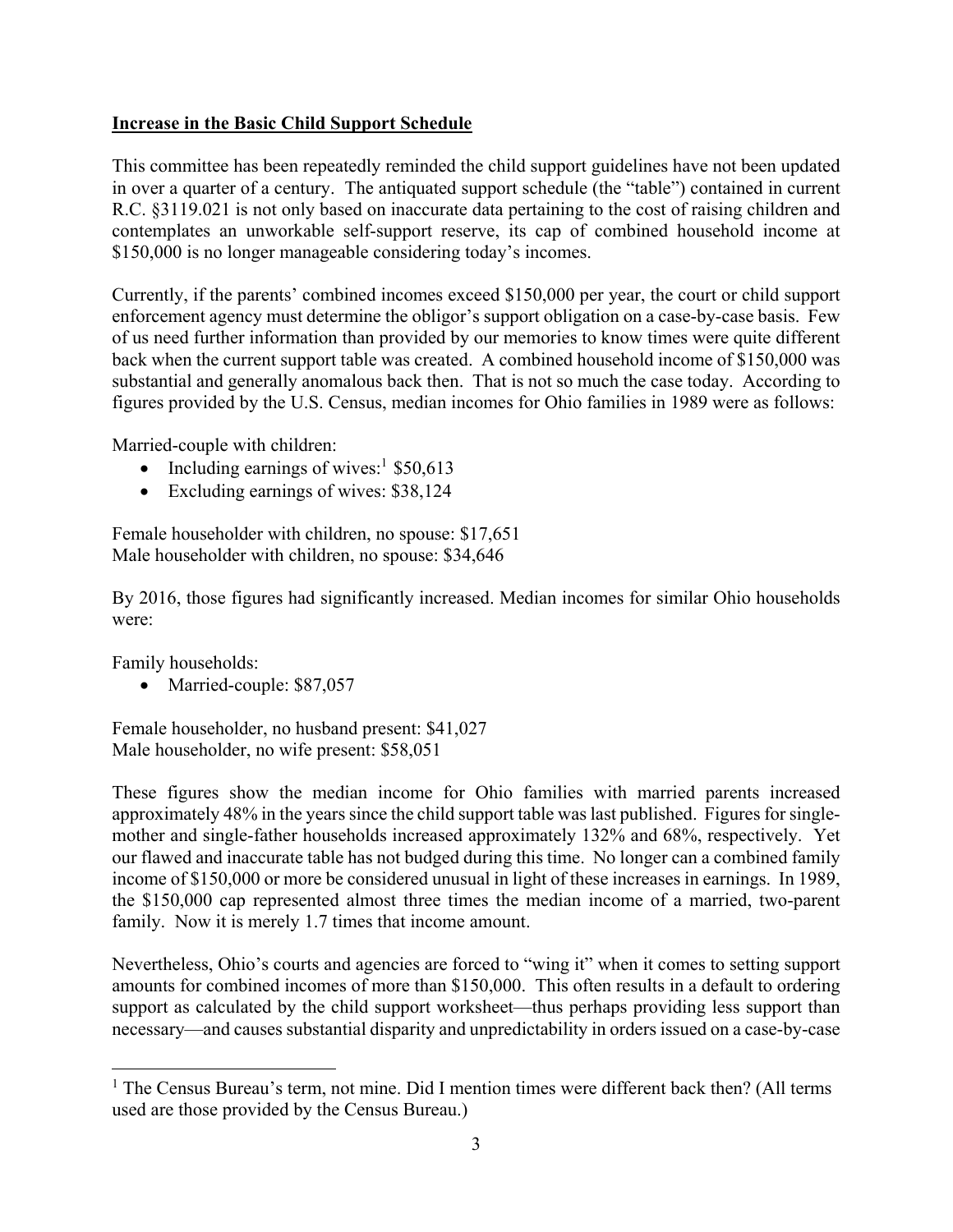### **Increase in the Basic Child Support Schedule**

This committee has been repeatedly reminded the child support guidelines have not been updated in over a quarter of a century. The antiquated support schedule (the "table") contained in current R.C. §3119.021 is not only based on inaccurate data pertaining to the cost of raising children and contemplates an unworkable self-support reserve, its cap of combined household income at \$150,000 is no longer manageable considering today's incomes.

Currently, if the parents' combined incomes exceed \$150,000 per year, the court or child support enforcement agency must determine the obligor's support obligation on a case-by-case basis. Few of us need further information than provided by our memories to know times were quite different back when the current support table was created. A combined household income of \$150,000 was substantial and generally anomalous back then. That is not so much the case today. According to figures provided by the U.S. Census, median incomes for Ohio families in 1989 were as follows:

Married-couple with children:

- Including earnings of wives:<sup>1</sup>  $$50,613$
- Excluding earnings of wives: \$38,124

Female householder with children, no spouse: \$17,651 Male householder with children, no spouse: \$34,646

By 2016, those figures had significantly increased. Median incomes for similar Ohio households were:

Family households:

 $\overline{a}$ 

• Married-couple: \$87,057

Female householder, no husband present: \$41,027 Male householder, no wife present: \$58,051

These figures show the median income for Ohio families with married parents increased approximately 48% in the years since the child support table was last published. Figures for singlemother and single-father households increased approximately 132% and 68%, respectively. Yet our flawed and inaccurate table has not budged during this time. No longer can a combined family income of \$150,000 or more be considered unusual in light of these increases in earnings. In 1989, the \$150,000 cap represented almost three times the median income of a married, two-parent family. Now it is merely 1.7 times that income amount.

Nevertheless, Ohio's courts and agencies are forced to "wing it" when it comes to setting support amounts for combined incomes of more than \$150,000. This often results in a default to ordering support as calculated by the child support worksheet—thus perhaps providing less support than necessary—and causes substantial disparity and unpredictability in orders issued on a case-by-case

<sup>&</sup>lt;sup>1</sup> The Census Bureau's term, not mine. Did I mention times were different back then? (All terms used are those provided by the Census Bureau.)